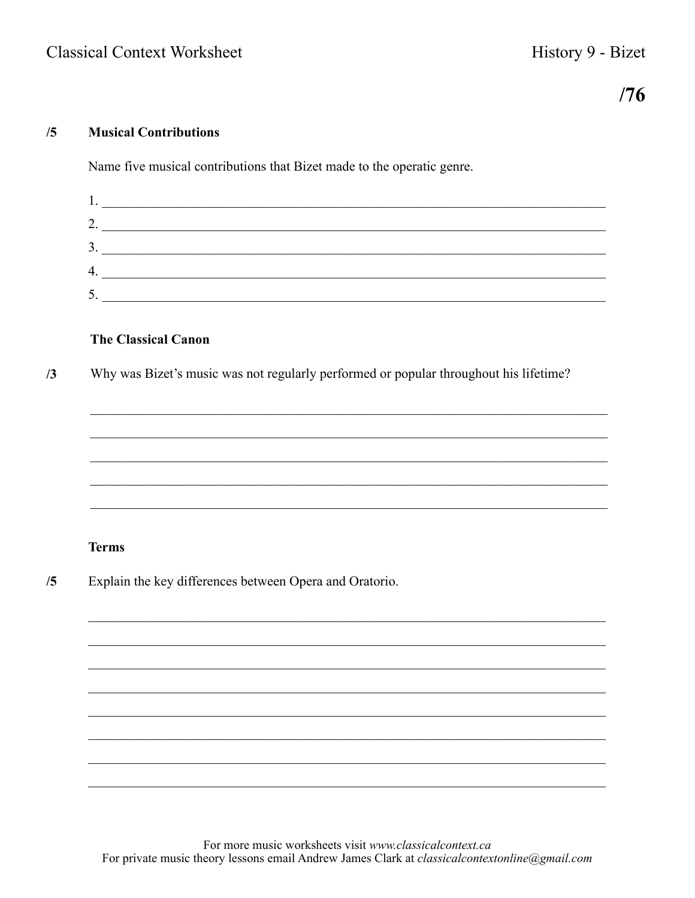# $/76$

## $/5$ **Musical Contributions**

Name five musical contributions that Bizet made to the operatic genre.

| 2.      |  |
|---------|--|
| 3.      |  |
| 4.      |  |
| ς<br>υ. |  |

# **The Classical Canon**

Why was Bizet's music was not regularly performed or popular throughout his lifetime?  $/3$ 

## **Terms**

 $/5$ Explain the key differences between Opera and Oratorio.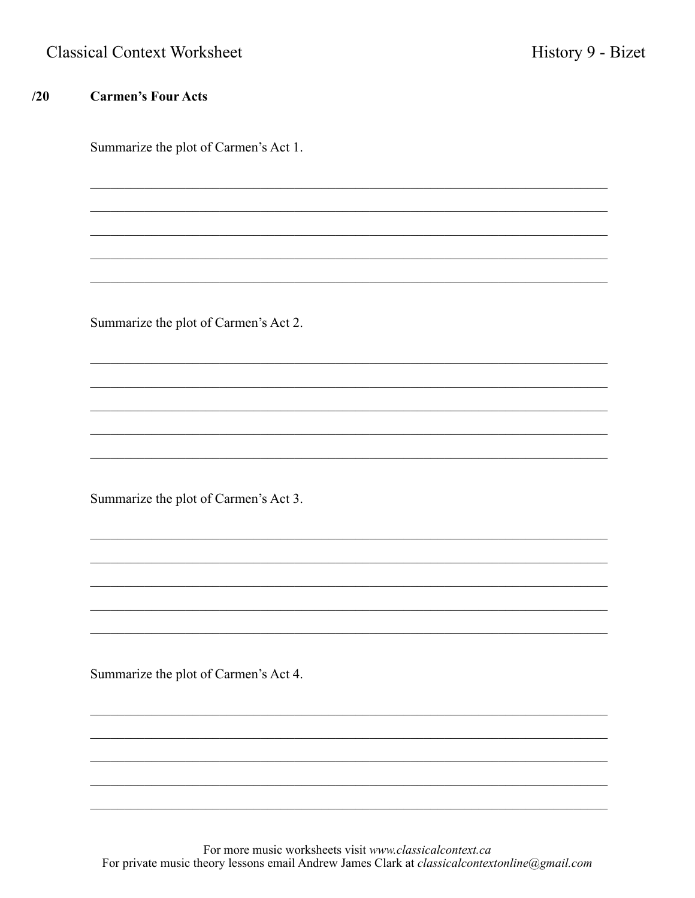|  |  | <b>Classical Context Worksheet</b> |
|--|--|------------------------------------|
|--|--|------------------------------------|

# $/20$ **Carmen's Four Acts** Summarize the plot of Carmen's Act 1. Summarize the plot of Carmen's Act 2. Summarize the plot of Carmen's Act 3. Summarize the plot of Carmen's Act 4.

For more music worksheets visit www.classicalcontext.ca For private music theory lessons email Andrew James Clark at classicalcontextonline@gmail.com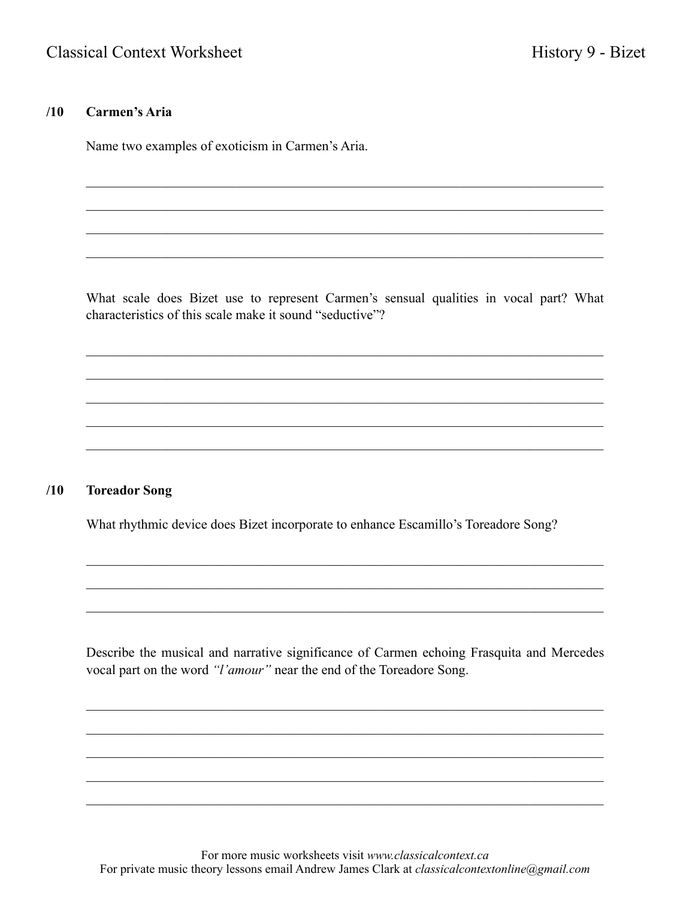## $/10$ **Carmen's Aria**

Name two examples of exoticism in Carmen's Aria.

What scale does Bizet use to represent Carmen's sensual qualities in vocal part? What characteristics of this scale make it sound "seductive"?

## $/10$ **Toreador Song**

What rhythmic device does Bizet incorporate to enhance Escamillo's Toreadore Song?

Describe the musical and narrative significance of Carmen echoing Frasquita and Mercedes vocal part on the word "l'amour" near the end of the Toreadore Song.

For more music worksheets visit www.classicalcontext.ca For private music theory lessons email Andrew James Clark at *classicalcontextonline@gmail.com*